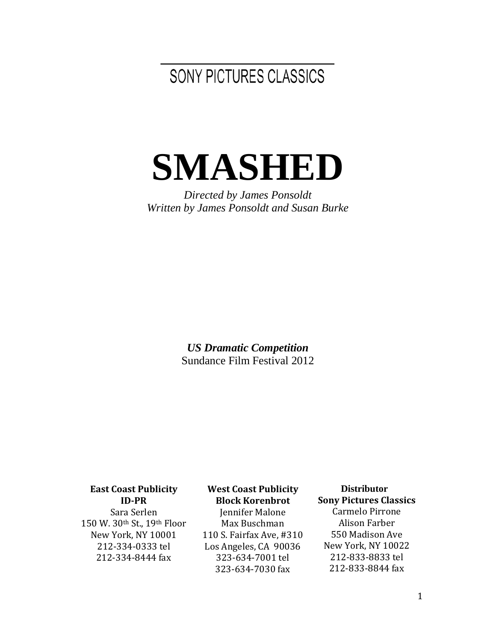SONY PICTURES CLASSICS

# **SMASHED**

*Directed by James Ponsoldt Written by James Ponsoldt and Susan Burke*

> *US Dramatic Competition* Sundance Film Festival 2012

#### **East Coast Publicity ID-PR**

Sara Serlen 150 W. 30th St., 19th Floor New York, NY 10001 212-334-0333 tel 212-334-8444 fax

#### **West Coast Publicity Block Korenbrot**

Jennifer Malone Max Buschman 110 S. Fairfax Ave, #310 Los Angeles, CA 90036 323-634-7001 tel 323-634-7030 fax

 **Distributor Sony Pictures Classics** Carmelo Pirrone Alison Farber 550 Madison Ave New York, NY 10022 212-833-8833 tel 212-833-8844 fax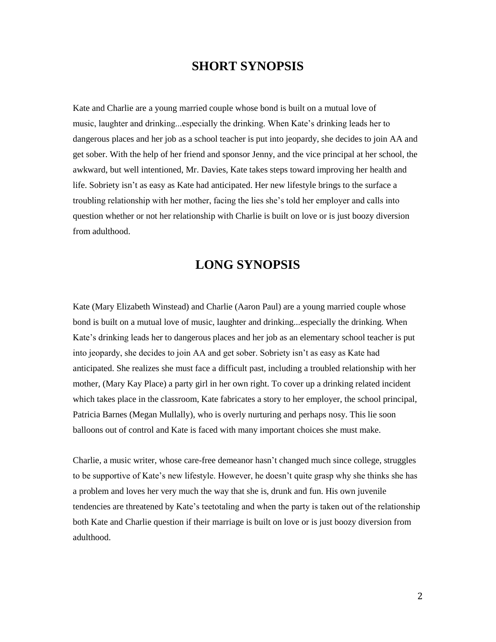## **SHORT SYNOPSIS**

Kate and Charlie are a young married couple whose bond is built on a mutual love of music, laughter and drinking...especially the drinking. When Kate's drinking leads her to dangerous places and her job as a school teacher is put into jeopardy, she decides to join AA and get sober. With the help of her friend and sponsor Jenny, and the vice principal at her school, the awkward, but well intentioned, Mr. Davies, Kate takes steps toward improving her health and life. Sobriety isn't as easy as Kate had anticipated. Her new lifestyle brings to the surface a troubling relationship with her mother, facing the lies she's told her employer and calls into question whether or not her relationship with Charlie is built on love or is just boozy diversion from adulthood.

# **LONG SYNOPSIS**

Kate (Mary Elizabeth Winstead) and Charlie (Aaron Paul) are a young married couple whose bond is built on a mutual love of music, laughter and drinking...especially the drinking. When Kate's drinking leads her to dangerous places and her job as an elementary school teacher is put into jeopardy, she decides to join AA and get sober. Sobriety isn't as easy as Kate had anticipated. She realizes she must face a difficult past, including a troubled relationship with her mother, (Mary Kay Place) a party girl in her own right. To cover up a drinking related incident which takes place in the classroom, Kate fabricates a story to her employer, the school principal, Patricia Barnes (Megan Mullally), who is overly nurturing and perhaps nosy. This lie soon balloons out of control and Kate is faced with many important choices she must make.

Charlie, a music writer, whose care-free demeanor hasn't changed much since college, struggles to be supportive of Kate's new lifestyle. However, he doesn't quite grasp why she thinks she has a problem and loves her very much the way that she is, drunk and fun. His own juvenile tendencies are threatened by Kate's teetotaling and when the party is taken out of the relationship both Kate and Charlie question if their marriage is built on love or is just boozy diversion from adulthood.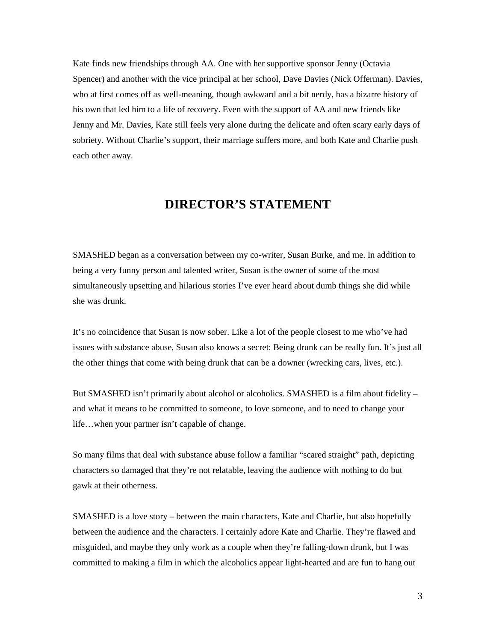Kate finds new friendships through AA. One with her supportive sponsor Jenny (Octavia Spencer) and another with the vice principal at her school, Dave Davies (Nick Offerman). Davies, who at first comes off as well-meaning, though awkward and a bit nerdy, has a bizarre history of his own that led him to a life of recovery. Even with the support of AA and new friends like Jenny and Mr. Davies, Kate still feels very alone during the delicate and often scary early days of sobriety. Without Charlie's support, their marriage suffers more, and both Kate and Charlie push each other away.

# **DIRECTOR'S STATEMENT**

SMASHED began as a conversation between my co-writer, Susan Burke, and me. In addition to being a very funny person and talented writer, Susan is the owner of some of the most simultaneously upsetting and hilarious stories I've ever heard about dumb things she did while she was drunk.

It's no coincidence that Susan is now sober. Like a lot of the people closest to me who've had issues with substance abuse, Susan also knows a secret: Being drunk can be really fun. It's just all the other things that come with being drunk that can be a downer (wrecking cars, lives, etc.).

But SMASHED isn't primarily about alcohol or alcoholics. SMASHED is a film about fidelity – and what it means to be committed to someone, to love someone, and to need to change your life…when your partner isn't capable of change.

So many films that deal with substance abuse follow a familiar "scared straight" path, depicting characters so damaged that they're not relatable, leaving the audience with nothing to do but gawk at their otherness.

SMASHED is a love story – between the main characters, Kate and Charlie, but also hopefully between the audience and the characters. I certainly adore Kate and Charlie. They're flawed and misguided, and maybe they only work as a couple when they're falling-down drunk, but I was committed to making a film in which the alcoholics appear light-hearted and are fun to hang out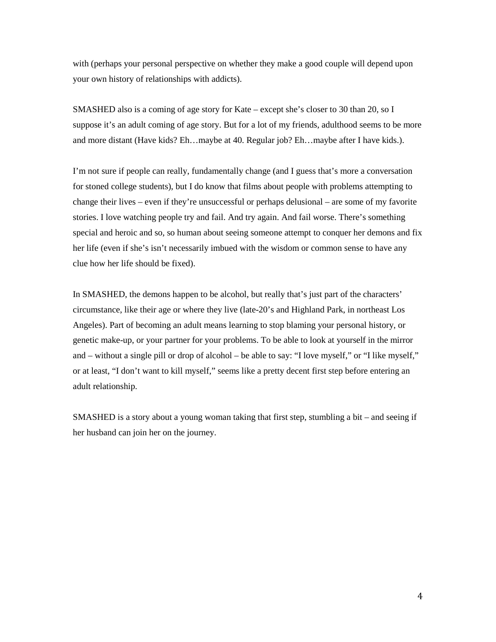with (perhaps your personal perspective on whether they make a good couple will depend upon your own history of relationships with addicts).

SMASHED also is a coming of age story for Kate – except she's closer to 30 than 20, so I suppose it's an adult coming of age story. But for a lot of my friends, adulthood seems to be more and more distant (Have kids? Eh…maybe at 40. Regular job? Eh…maybe after I have kids.).

I'm not sure if people can really, fundamentally change (and I guess that's more a conversation for stoned college students), but I do know that films about people with problems attempting to change their lives – even if they're unsuccessful or perhaps delusional – are some of my favorite stories. I love watching people try and fail. And try again. And fail worse. There's something special and heroic and so, so human about seeing someone attempt to conquer her demons and fix her life (even if she's isn't necessarily imbued with the wisdom or common sense to have any clue how her life should be fixed).

In SMASHED, the demons happen to be alcohol, but really that's just part of the characters' circumstance, like their age or where they live (late-20's and Highland Park, in northeast Los Angeles). Part of becoming an adult means learning to stop blaming your personal history, or genetic make-up, or your partner for your problems. To be able to look at yourself in the mirror and – without a single pill or drop of alcohol – be able to say: "I love myself," or "I like myself," or at least, "I don't want to kill myself," seems like a pretty decent first step before entering an adult relationship.

SMASHED is a story about a young woman taking that first step, stumbling a bit – and seeing if her husband can join her on the journey.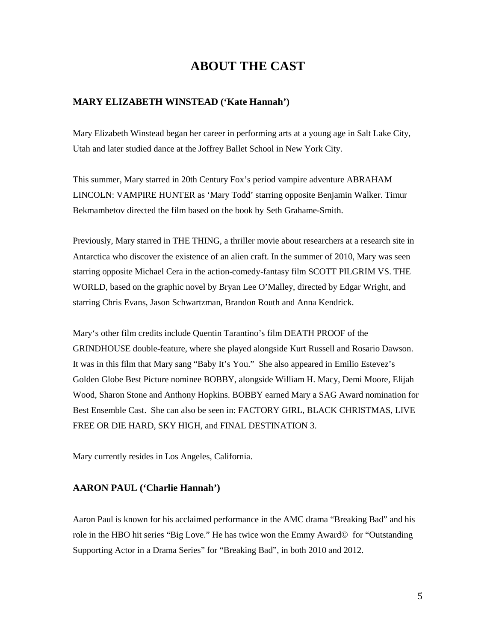# **ABOUT THE CAST**

#### **MARY ELIZABETH WINSTEAD ('Kate Hannah')**

Mary Elizabeth Winstead began her career in performing arts at a young age in Salt Lake City, Utah and later studied dance at the Joffrey Ballet School in New York City.

This summer, Mary starred in 20th Century Fox's period vampire adventure ABRAHAM LINCOLN: VAMPIRE HUNTER as 'Mary Todd' starring opposite Benjamin Walker. Timur Bekmambetov directed the film based on the book by Seth Grahame-Smith.

Previously, Mary starred in THE THING, a thriller movie about researchers at a research site in Antarctica who discover the existence of an alien craft. In the summer of 2010, Mary was seen starring opposite Michael Cera in the action-comedy-fantasy film SCOTT PILGRIM VS. THE WORLD, based on the graphic novel by Bryan Lee O'Malley, directed by Edgar Wright, and starring Chris Evans, Jason Schwartzman, Brandon Routh and Anna Kendrick.

Mary's other film credits include Quentin Tarantino's film DEATH PROOF of the GRINDHOUSE double-feature, where she played alongside Kurt Russell and Rosario Dawson. It was in this film that Mary sang "Baby It's You." She also appeared in Emilio Estevez's Golden Globe Best Picture nominee BOBBY, alongside William H. Macy, Demi Moore, Elijah Wood, Sharon Stone and Anthony Hopkins. BOBBY earned Mary a SAG Award nomination for Best Ensemble Cast. She can also be seen in: FACTORY GIRL, BLACK CHRISTMAS, LIVE FREE OR DIE HARD, SKY HIGH, and FINAL DESTINATION 3.

Mary currently resides in Los Angeles, California.

#### **AARON PAUL ('Charlie Hannah')**

Aaron Paul is known for his acclaimed performance in the AMC drama "Breaking Bad" and his role in the HBO hit series "Big Love." He has twice won the Emmy Award© for "Outstanding Supporting Actor in a Drama Series" for "Breaking Bad", in both 2010 and 2012.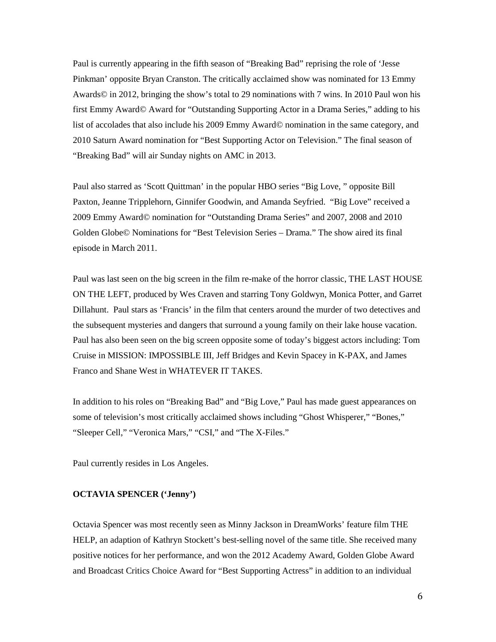Paul is currently appearing in the fifth season of "Breaking Bad" reprising the role of 'Jesse Pinkman' opposite Bryan Cranston. The critically acclaimed show was nominated for 13 Emmy Awards© in 2012, bringing the show's total to 29 nominations with 7 wins. In 2010 Paul won his first Emmy Award© Award for "Outstanding Supporting Actor in a Drama Series," adding to his list of accolades that also include his 2009 Emmy Award© nomination in the same category, and 2010 Saturn Award nomination for "Best Supporting Actor on Television." The final season of "Breaking Bad" will air Sunday nights on AMC in 2013.

Paul also starred as 'Scott Quittman' in the popular HBO series "Big Love, " opposite Bill Paxton, Jeanne Tripplehorn, Ginnifer Goodwin, and Amanda Seyfried. "Big Love" received a 2009 Emmy Award© nomination for "Outstanding Drama Series" and 2007, 2008 and 2010 Golden Globe© Nominations for "Best Television Series – Drama." The show aired its final episode in March 2011.

Paul was last seen on the big screen in the film re-make of the horror classic, THE LAST HOUSE ON THE LEFT, produced by Wes Craven and starring Tony Goldwyn, Monica Potter, and Garret Dillahunt. Paul stars as 'Francis' in the film that centers around the murder of two detectives and the subsequent mysteries and dangers that surround a young family on their lake house vacation. Paul has also been seen on the big screen opposite some of today's biggest actors including: Tom Cruise in MISSION: IMPOSSIBLE III, Jeff Bridges and Kevin Spacey in K-PAX, and James Franco and Shane West in WHATEVER IT TAKES.

In addition to his roles on "Breaking Bad" and "Big Love," Paul has made guest appearances on some of television's most critically acclaimed shows including "Ghost Whisperer," "Bones," "Sleeper Cell," "Veronica Mars," "CSI," and "The X-Files."

Paul currently resides in Los Angeles.

#### **OCTAVIA SPENCER ('Jenny')**

Octavia Spencer was most recently seen as Minny Jackson in DreamWorks' feature film THE HELP, an adaption of Kathryn Stockett's best-selling novel of the same title. She received many positive notices for her performance, and won the 2012 Academy Award, Golden Globe Award and Broadcast Critics Choice Award for "Best Supporting Actress" in addition to an individual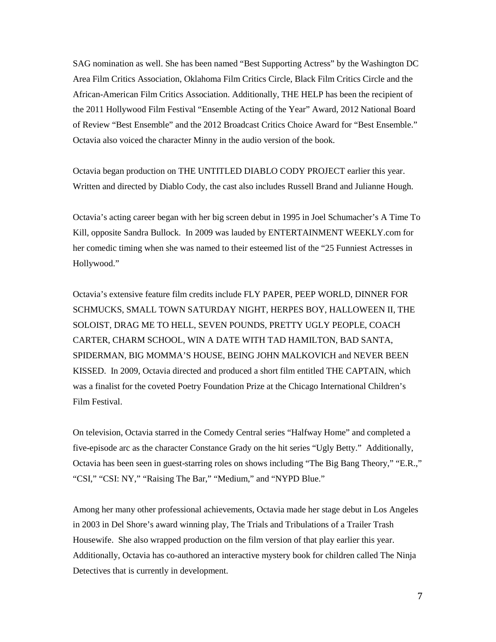SAG nomination as well. She has been named "Best Supporting Actress" by the Washington DC Area Film Critics Association, Oklahoma Film Critics Circle, Black Film Critics Circle and the African-American Film Critics Association. Additionally, THE HELP has been the recipient of the 2011 Hollywood Film Festival "Ensemble Acting of the Year" Award, 2012 National Board of Review "Best Ensemble" and the 2012 Broadcast Critics Choice Award for "Best Ensemble." Octavia also voiced the character Minny in the audio version of the book.

Octavia began production on THE UNTITLED DIABLO CODY PROJECT earlier this year. Written and directed by Diablo Cody, the cast also includes Russell Brand and Julianne Hough.

Octavia's acting career began with her big screen debut in 1995 in Joel Schumacher's A Time To Kill, opposite Sandra Bullock. In 2009 was lauded by ENTERTAINMENT WEEKLY.com for her comedic timing when she was named to their esteemed list of the "25 Funniest Actresses in Hollywood."

Octavia's extensive feature film credits include FLY PAPER, PEEP WORLD, DINNER FOR SCHMUCKS, SMALL TOWN SATURDAY NIGHT, HERPES BOY, HALLOWEEN II, THE SOLOIST, DRAG ME TO HELL, SEVEN POUNDS, PRETTY UGLY PEOPLE, COACH CARTER, CHARM SCHOOL, WIN A DATE WITH TAD HAMILTON, BAD SANTA, SPIDERMAN, BIG MOMMA'S HOUSE, BEING JOHN MALKOVICH and NEVER BEEN KISSED. In 2009, Octavia directed and produced a short film entitled THE CAPTAIN, which was a finalist for the coveted Poetry Foundation Prize at the Chicago International Children's Film Festival.

On television, Octavia starred in the Comedy Central series "Halfway Home" and completed a five-episode arc as the character Constance Grady on the hit series "Ugly Betty." Additionally, Octavia has been seen in guest-starring roles on shows including "The Big Bang Theory," "E.R.," "CSI," "CSI: NY," "Raising The Bar," "Medium," and "NYPD Blue."

Among her many other professional achievements, Octavia made her stage debut in Los Angeles in 2003 in Del Shore's award winning play, The Trials and Tribulations of a Trailer Trash Housewife. She also wrapped production on the film version of that play earlier this year. Additionally, Octavia has co-authored an interactive mystery book for children called The Ninja Detectives that is currently in development.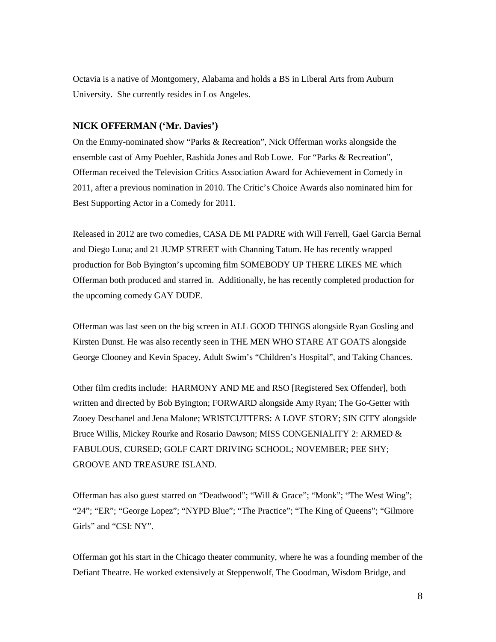Octavia is a native of Montgomery, Alabama and holds a BS in Liberal Arts from Auburn University. She currently resides in Los Angeles.

#### **NICK OFFERMAN ('Mr. Davies')**

On the Emmy-nominated show "Parks & Recreation", Nick Offerman works alongside the ensemble cast of Amy Poehler, Rashida Jones and Rob Lowe. For "Parks & Recreation", Offerman received the Television Critics Association Award for Achievement in Comedy in 2011, after a previous nomination in 2010. The Critic's Choice Awards also nominated him for Best Supporting Actor in a Comedy for 2011.

Released in 2012 are two comedies, CASA DE MI PADRE with Will Ferrell, Gael Garcia Bernal and Diego Luna; and 21 JUMP STREET with Channing Tatum. He has recently wrapped production for Bob Byington's upcoming film SOMEBODY UP THERE LIKES ME which Offerman both produced and starred in. Additionally, he has recently completed production for the upcoming comedy GAY DUDE.

Offerman was last seen on the big screen in ALL GOOD THINGS alongside Ryan Gosling and Kirsten Dunst. He was also recently seen in THE MEN WHO STARE AT GOATS alongside George Clooney and Kevin Spacey, Adult Swim's "Children's Hospital", and Taking Chances.

Other film credits include: HARMONY AND ME and RSO [Registered Sex Offender], both written and directed by Bob Byington; FORWARD alongside Amy Ryan; The Go-Getter with Zooey Deschanel and Jena Malone; WRISTCUTTERS: A LOVE STORY; SIN CITY alongside Bruce Willis, Mickey Rourke and Rosario Dawson; MISS CONGENIALITY 2: ARMED & FABULOUS, CURSED; GOLF CART DRIVING SCHOOL; NOVEMBER; PEE SHY; GROOVE AND TREASURE ISLAND.

Offerman has also guest starred on "Deadwood"; "Will & Grace"; "Monk"; "The West Wing"; "24"; "ER"; "George Lopez"; "NYPD Blue"; "The Practice"; "The King of Queens"; "Gilmore" Girls" and "CSI: NY".

Offerman got his start in the Chicago theater community, where he was a founding member of the Defiant Theatre. He worked extensively at Steppenwolf, The Goodman, Wisdom Bridge, and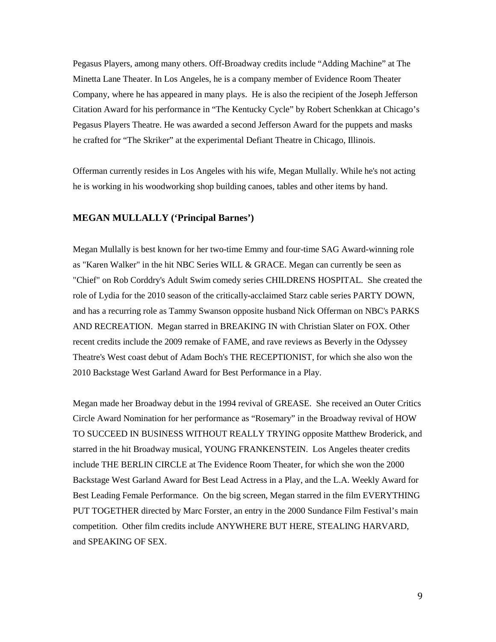Pegasus Players, among many others. Off-Broadway credits include "Adding Machine" at The Minetta Lane Theater. In Los Angeles, he is a company member of Evidence Room Theater Company, where he has appeared in many plays. He is also the recipient of the Joseph Jefferson Citation Award for his performance in "The Kentucky Cycle" by Robert Schenkkan at Chicago's Pegasus Players Theatre. He was awarded a second Jefferson Award for the puppets and masks he crafted for "The Skriker" at the experimental Defiant Theatre in Chicago, Illinois.

Offerman currently resides in Los Angeles with his wife, Megan Mullally. While he's not acting he is working in his woodworking shop building canoes, tables and other items by hand.

#### **MEGAN MULLALLY ('Principal Barnes')**

Megan Mullally is best known for her two-time Emmy and four-time SAG Award-winning role as "Karen Walker" in the hit NBC Series WILL & GRACE. Megan can currently be seen as "Chief" on Rob Corddry's Adult Swim comedy series CHILDRENS HOSPITAL. She created the role of Lydia for the 2010 season of the critically-acclaimed Starz cable series PARTY DOWN, and has a recurring role as Tammy Swanson opposite husband Nick Offerman on NBC's PARKS AND RECREATION. Megan starred in BREAKING IN with Christian Slater on FOX. Other recent credits include the 2009 remake of FAME, and rave reviews as Beverly in the Odyssey Theatre's West coast debut of Adam Boch's THE RECEPTIONIST, for which she also won the 2010 Backstage West Garland Award for Best Performance in a Play.

Megan made her Broadway debut in the 1994 revival of GREASE. She received an Outer Critics Circle Award Nomination for her performance as "Rosemary" in the Broadway revival of HOW TO SUCCEED IN BUSINESS WITHOUT REALLY TRYING opposite Matthew Broderick, and starred in the hit Broadway musical, YOUNG FRANKENSTEIN. Los Angeles theater credits include THE BERLIN CIRCLE at The Evidence Room Theater, for which she won the 2000 Backstage West Garland Award for Best Lead Actress in a Play, and the L.A. Weekly Award for Best Leading Female Performance. On the big screen, Megan starred in the film EVERYTHING PUT TOGETHER directed by Marc Forster, an entry in the 2000 Sundance Film Festival's main competition. Other film credits include ANYWHERE BUT HERE, STEALING HARVARD, and SPEAKING OF SEX.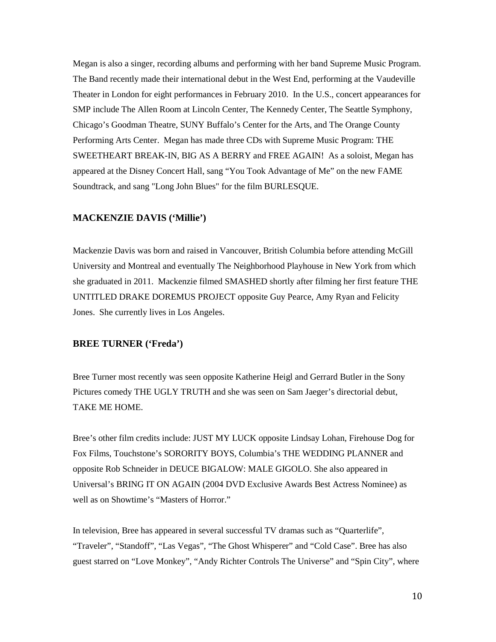Megan is also a singer, recording albums and performing with her band Supreme Music Program. The Band recently made their international debut in the West End, performing at the Vaudeville Theater in London for eight performances in February 2010. In the U.S., concert appearances for SMP include The Allen Room at Lincoln Center, The Kennedy Center, The Seattle Symphony, Chicago's Goodman Theatre, SUNY Buffalo's Center for the Arts, and The Orange County Performing Arts Center. Megan has made three CDs with Supreme Music Program: THE SWEETHEART BREAK-IN, BIG AS A BERRY and FREE AGAIN! As a soloist, Megan has appeared at the Disney Concert Hall, sang "You Took Advantage of Me" on the new FAME Soundtrack, and sang "Long John Blues" for the film BURLESQUE.

#### **MACKENZIE DAVIS ('Millie')**

Mackenzie Davis was born and raised in Vancouver, British Columbia before attending McGill University and Montreal and eventually The Neighborhood Playhouse in New York from which she graduated in 2011. Mackenzie filmed SMASHED shortly after filming her first feature THE UNTITLED DRAKE DOREMUS PROJECT opposite Guy Pearce, Amy Ryan and Felicity Jones. She currently lives in Los Angeles.

#### **BREE TURNER ('Freda')**

Bree Turner most recently was seen opposite Katherine Heigl and Gerrard Butler in the Sony Pictures comedy THE UGLY TRUTH and she was seen on Sam Jaeger's directorial debut, TAKE ME HOME.

Bree's other film credits include: JUST MY LUCK opposite Lindsay Lohan, Firehouse Dog for Fox Films, Touchstone's SORORITY BOYS, Columbia's THE WEDDING PLANNER and opposite Rob Schneider in DEUCE BIGALOW: MALE GIGOLO. She also appeared in Universal's BRING IT ON AGAIN (2004 DVD Exclusive Awards Best Actress Nominee) as well as on Showtime's "Masters of Horror."

In television, Bree has appeared in several successful TV dramas such as "Quarterlife", "Traveler", "Standoff", "Las Vegas", "The Ghost Whisperer" and "Cold Case". Bree has also guest starred on "Love Monkey", "Andy Richter Controls The Universe" and "Spin City", where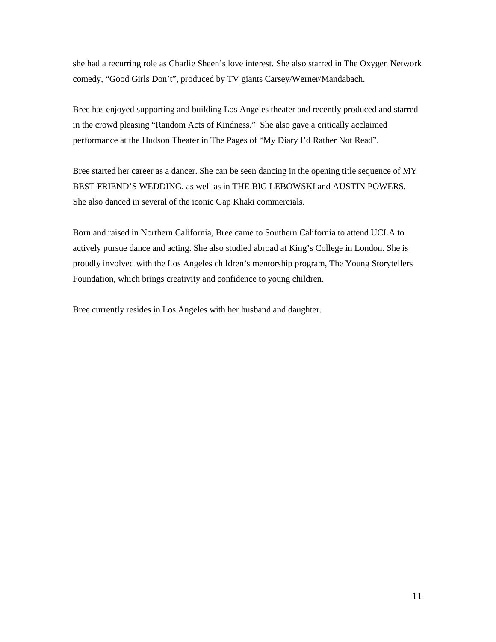she had a recurring role as Charlie Sheen's love interest. She also starred in The Oxygen Network comedy, "Good Girls Don't", produced by TV giants Carsey/Werner/Mandabach.

Bree has enjoyed supporting and building Los Angeles theater and recently produced and starred in the crowd pleasing "Random Acts of Kindness." She also gave a critically acclaimed performance at the Hudson Theater in The Pages of "My Diary I'd Rather Not Read".

Bree started her career as a dancer. She can be seen dancing in the opening title sequence of MY BEST FRIEND'S WEDDING, as well as in THE BIG LEBOWSKI and AUSTIN POWERS. She also danced in several of the iconic Gap Khaki commercials.

Born and raised in Northern California, Bree came to Southern California to attend UCLA to actively pursue dance and acting. She also studied abroad at King's College in London. She is proudly involved with the Los Angeles children's mentorship program, The Young Storytellers Foundation, which brings creativity and confidence to young children.

Bree currently resides in Los Angeles with her husband and daughter.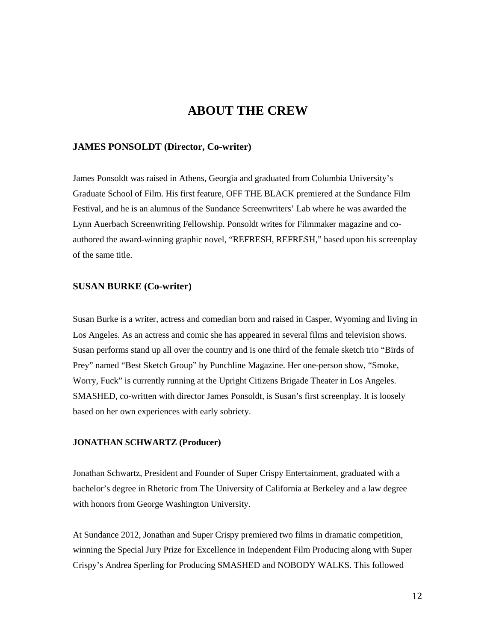## **ABOUT THE CREW**

#### **JAMES PONSOLDT (Director, Co-writer)**

James Ponsoldt was raised in Athens, Georgia and graduated from Columbia University's Graduate School of Film. His first feature, OFF THE BLACK premiered at the Sundance Film Festival, and he is an alumnus of the Sundance Screenwriters' Lab where he was awarded the Lynn Auerbach Screenwriting Fellowship. Ponsoldt writes for Filmmaker magazine and coauthored the award-winning graphic novel, "REFRESH, REFRESH," based upon his screenplay of the same title.

#### **SUSAN BURKE (Co-writer)**

Susan Burke is a writer, actress and comedian born and raised in Casper, Wyoming and living in Los Angeles. As an actress and comic she has appeared in several films and television shows. Susan performs stand up all over the country and is one third of the female sketch trio "Birds of Prey" named "Best Sketch Group" by Punchline Magazine. Her one-person show, "Smoke, Worry, Fuck" is currently running at the Upright Citizens Brigade Theater in Los Angeles. SMASHED, co-written with director James Ponsoldt, is Susan's first screenplay. It is loosely based on her own experiences with early sobriety.

#### **JONATHAN SCHWARTZ (Producer)**

Jonathan Schwartz, President and Founder of Super Crispy Entertainment, graduated with a bachelor's degree in Rhetoric from The University of California at Berkeley and a law degree with honors from George Washington University.

At Sundance 2012, Jonathan and Super Crispy premiered two films in dramatic competition, winning the Special Jury Prize for Excellence in Independent Film Producing along with Super Crispy's Andrea Sperling for Producing SMASHED and NOBODY WALKS. This followed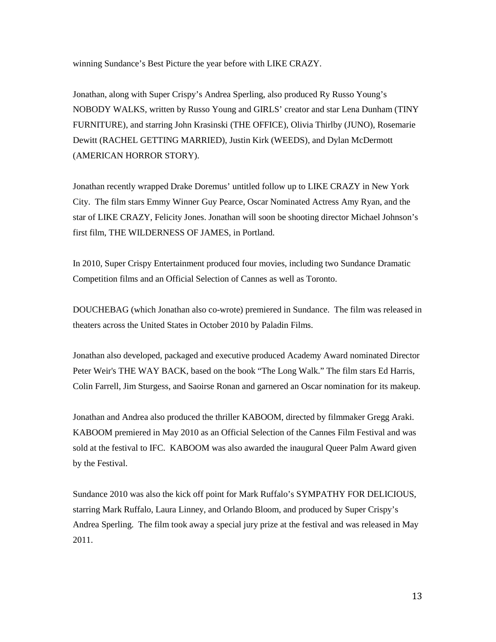winning Sundance's Best Picture the year before with LIKE CRAZY.

Jonathan, along with Super Crispy's Andrea Sperling, also produced Ry Russo Young's NOBODY WALKS, written by Russo Young and GIRLS' creator and star Lena Dunham (TINY FURNITURE), and starring John Krasinski (THE OFFICE), Olivia Thirlby (JUNO), Rosemarie Dewitt (RACHEL GETTING MARRIED), Justin Kirk (WEEDS), and Dylan McDermott (AMERICAN HORROR STORY).

Jonathan recently wrapped Drake Doremus' untitled follow up to LIKE CRAZY in New York City. The film stars Emmy Winner Guy Pearce, Oscar Nominated Actress Amy Ryan, and the star of LIKE CRAZY, Felicity Jones. Jonathan will soon be shooting director Michael Johnson's first film, THE WILDERNESS OF JAMES, in Portland.

In 2010, Super Crispy Entertainment produced four movies, including two Sundance Dramatic Competition films and an Official Selection of Cannes as well as Toronto.

DOUCHEBAG (which Jonathan also co-wrote) premiered in Sundance. The film was released in theaters across the United States in October 2010 by Paladin Films.

Jonathan also developed, packaged and executive produced Academy Award nominated Director Peter Weir's THE WAY BACK, based on the book "The Long Walk." The film stars Ed Harris, Colin Farrell, Jim Sturgess, and Saoirse Ronan and garnered an Oscar nomination for its makeup.

Jonathan and Andrea also produced the thriller KABOOM, directed by filmmaker Gregg Araki. KABOOM premiered in May 2010 as an Official Selection of the Cannes Film Festival and was sold at the festival to IFC. KABOOM was also awarded the inaugural Queer Palm Award given by the Festival.

Sundance 2010 was also the kick off point for Mark Ruffalo's SYMPATHY FOR DELICIOUS, starring Mark Ruffalo, Laura Linney, and Orlando Bloom, and produced by Super Crispy's Andrea Sperling. The film took away a special jury prize at the festival and was released in May 2011.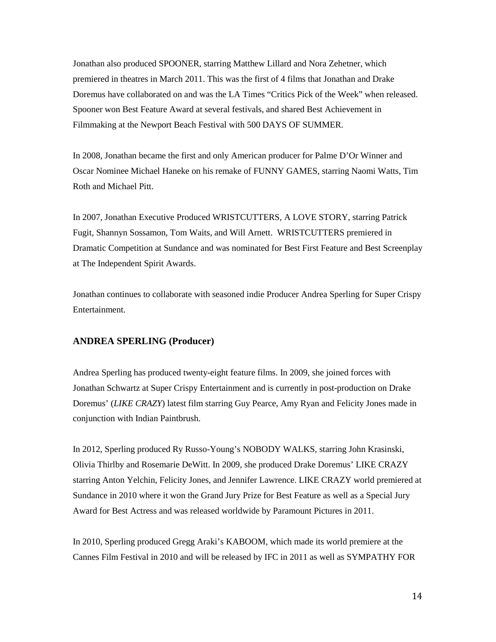Jonathan also produced SPOONER, starring Matthew Lillard and Nora Zehetner, which premiered in theatres in March 2011. This was the first of 4 films that Jonathan and Drake Doremus have collaborated on and was the LA Times "Critics Pick of the Week" when released. Spooner won Best Feature Award at several festivals, and shared Best Achievement in Filmmaking at the Newport Beach Festival with 500 DAYS OF SUMMER.

In 2008, Jonathan became the first and only American producer for Palme D'Or Winner and Oscar Nominee Michael Haneke on his remake of FUNNY GAMES, starring Naomi Watts, Tim Roth and Michael Pitt.

In 2007, Jonathan Executive Produced WRISTCUTTERS, A LOVE STORY, starring Patrick Fugit, Shannyn Sossamon, Tom Waits, and Will Arnett. WRISTCUTTERS premiered in Dramatic Competition at Sundance and was nominated for Best First Feature and Best Screenplay at The Independent Spirit Awards.

Jonathan continues to collaborate with seasoned indie Producer Andrea Sperling for Super Crispy Entertainment.

#### **ANDREA SPERLING (Producer)**

Andrea Sperling has produced twenty-eight feature films. In 2009, she joined forces with Jonathan Schwartz at Super Crispy Entertainment and is currently in post-production on Drake Doremus' (*LIKE CRAZY*) latest film starring Guy Pearce, Amy Ryan and Felicity Jones made in conjunction with Indian Paintbrush.

In 2012, Sperling produced Ry Russo-Young's NOBODY WALKS, starring John Krasinski, Olivia Thirlby and Rosemarie DeWitt. In 2009, she produced Drake Doremus' LIKE CRAZY starring Anton Yelchin, Felicity Jones, and Jennifer Lawrence. LIKE CRAZY world premiered at Sundance in 2010 where it won the Grand Jury Prize for Best Feature as well as a Special Jury Award for Best Actress and was released worldwide by Paramount Pictures in 2011.

In 2010, Sperling produced Gregg Araki's KABOOM, which made its world premiere at the Cannes Film Festival in 2010 and will be released by IFC in 2011 as well as SYMPATHY FOR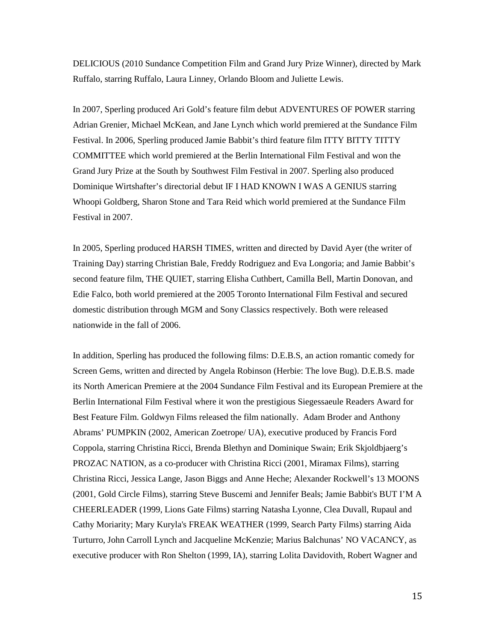DELICIOUS (2010 Sundance Competition Film and Grand Jury Prize Winner), directed by Mark Ruffalo, starring Ruffalo, Laura Linney, Orlando Bloom and Juliette Lewis.

In 2007, Sperling produced Ari Gold's feature film debut ADVENTURES OF POWER starring Adrian Grenier, Michael McKean, and Jane Lynch which world premiered at the Sundance Film Festival. In 2006, Sperling produced Jamie Babbit's third feature film ITTY BITTY TITTY COMMITTEE which world premiered at the Berlin International Film Festival and won the Grand Jury Prize at the South by Southwest Film Festival in 2007. Sperling also produced Dominique Wirtshafter's directorial debut IF I HAD KNOWN I WAS A GENIUS starring Whoopi Goldberg, Sharon Stone and Tara Reid which world premiered at the Sundance Film Festival in 2007.

In 2005, Sperling produced HARSH TIMES, written and directed by David Ayer (the writer of Training Day) starring Christian Bale, Freddy Rodriguez and Eva Longoria; and Jamie Babbit's second feature film, THE QUIET, starring Elisha Cuthbert, Camilla Bell, Martin Donovan, and Edie Falco, both world premiered at the 2005 Toronto International Film Festival and secured domestic distribution through MGM and Sony Classics respectively. Both were released nationwide in the fall of 2006.

In addition, Sperling has produced the following films: D.E.B.S, an action romantic comedy for Screen Gems, written and directed by Angela Robinson (Herbie: The love Bug). D.E.B.S. made its North American Premiere at the 2004 Sundance Film Festival and its European Premiere at the Berlin International Film Festival where it won the prestigious Siegessaeule Readers Award for Best Feature Film. Goldwyn Films released the film nationally. Adam Broder and Anthony Abrams' PUMPKIN (2002, American Zoetrope/ UA), executive produced by Francis Ford Coppola, starring Christina Ricci, Brenda Blethyn and Dominique Swain; Erik Skjoldbjaerg's PROZAC NATION, as a co-producer with Christina Ricci (2001, Miramax Films), starring Christina Ricci, Jessica Lange, Jason Biggs and Anne Heche; Alexander Rockwell's 13 MOONS (2001, Gold Circle Films), starring Steve Buscemi and Jennifer Beals; Jamie Babbit's BUT I'M A CHEERLEADER (1999, Lions Gate Films) starring Natasha Lyonne, Clea Duvall, Rupaul and Cathy Moriarity; Mary Kuryla's FREAK WEATHER (1999, Search Party Films) starring Aida Turturro, John Carroll Lynch and Jacqueline McKenzie; Marius Balchunas' NO VACANCY, as executive producer with Ron Shelton (1999, IA), starring Lolita Davidovith, Robert Wagner and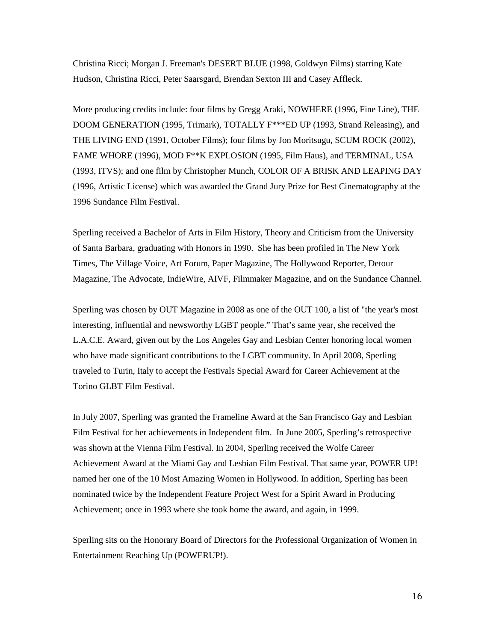Christina Ricci; Morgan J. Freeman's DESERT BLUE (1998, Goldwyn Films) starring Kate Hudson, Christina Ricci, Peter Saarsgard, Brendan Sexton III and Casey Affleck.

More producing credits include: four films by Gregg Araki, NOWHERE (1996, Fine Line), THE DOOM GENERATION (1995, Trimark), TOTALLY F\*\*\*ED UP (1993, Strand Releasing), and THE LIVING END (1991, October Films); four films by Jon Moritsugu, SCUM ROCK (2002), FAME WHORE (1996), MOD F\*\*K EXPLOSION (1995, Film Haus), and TERMINAL, USA (1993, ITVS); and one film by Christopher Munch, COLOR OF A BRISK AND LEAPING DAY (1996, Artistic License) which was awarded the Grand Jury Prize for Best Cinematography at the 1996 Sundance Film Festival.

Sperling received a Bachelor of Arts in Film History, Theory and Criticism from the University of Santa Barbara, graduating with Honors in 1990. She has been profiled in The New York Times, The Village Voice, Art Forum, Paper Magazine, The Hollywood Reporter, Detour Magazine, The Advocate, IndieWire, AIVF, Filmmaker Magazine, and on the Sundance Channel.

Sperling was chosen by OUT Magazine in 2008 as one of the OUT 100, a list of "the year's most interesting, influential and newsworthy LGBT people." That's same year, she received the L.A.C.E. Award, given out by the Los Angeles Gay and Lesbian Center honoring local women who have made significant contributions to the LGBT community. In April 2008, Sperling traveled to Turin, Italy to accept the Festivals Special Award for Career Achievement at the Torino GLBT Film Festival.

In July 2007, Sperling was granted the Frameline Award at the San Francisco Gay and Lesbian Film Festival for her achievements in Independent film. In June 2005, Sperling's retrospective was shown at the Vienna Film Festival. In 2004, Sperling received the Wolfe Career Achievement Award at the Miami Gay and Lesbian Film Festival. That same year, POWER UP! named her one of the 10 Most Amazing Women in Hollywood. In addition, Sperling has been nominated twice by the Independent Feature Project West for a Spirit Award in Producing Achievement; once in 1993 where she took home the award, and again, in 1999.

Sperling sits on the Honorary Board of Directors for the Professional Organization of Women in Entertainment Reaching Up (POWERUP!).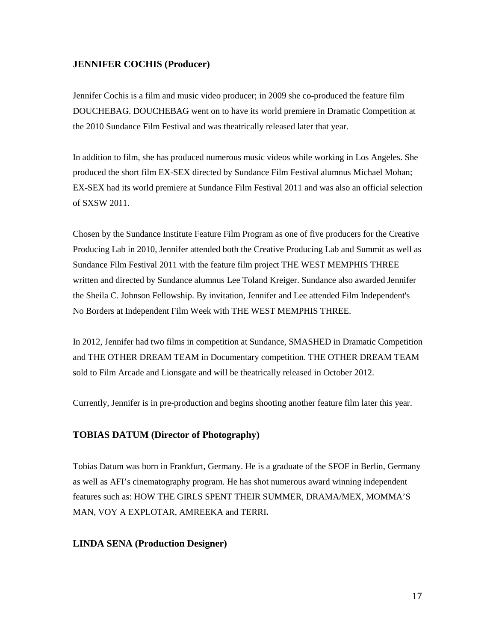#### **JENNIFER COCHIS (Producer)**

Jennifer Cochis is a film and music video producer; in 2009 she co-produced the feature film DOUCHEBAG. DOUCHEBAG went on to have its world premiere in Dramatic Competition at the 2010 Sundance Film Festival and was theatrically released later that year.

In addition to film, she has produced numerous music videos while working in Los Angeles. She produced the short film EX-SEX directed by Sundance Film Festival alumnus Michael Mohan; EX-SEX had its world premiere at Sundance Film Festival 2011 and was also an official selection of SXSW 2011.

Chosen by the Sundance Institute Feature Film Program as one of five producers for the Creative Producing Lab in 2010, Jennifer attended both the Creative Producing Lab and Summit as well as Sundance Film Festival 2011 with the feature film project THE WEST MEMPHIS THREE written and directed by Sundance alumnus Lee Toland Kreiger. Sundance also awarded Jennifer the Sheila C. Johnson Fellowship. By invitation, Jennifer and Lee attended Film Independent's No Borders at Independent Film Week with THE WEST MEMPHIS THREE.

In 2012, Jennifer had two films in competition at Sundance, SMASHED in Dramatic Competition and THE OTHER DREAM TEAM in Documentary competition. THE OTHER DREAM TEAM sold to Film Arcade and Lionsgate and will be theatrically released in October 2012.

Currently, Jennifer is in pre-production and begins shooting another feature film later this year.

## **TOBIAS DATUM (Director of Photography)**

Tobias Datum was born in Frankfurt, Germany. He is a graduate of the SFOF in Berlin, Germany as well as AFI's cinematography program. He has shot numerous award winning independent features such as: HOW THE GIRLS SPENT THEIR SUMMER, DRAMA/MEX, MOMMA'S MAN, VOY A EXPLOTAR, AMREEKA and TERRI**.** 

#### **LINDA SENA (Production Designer)**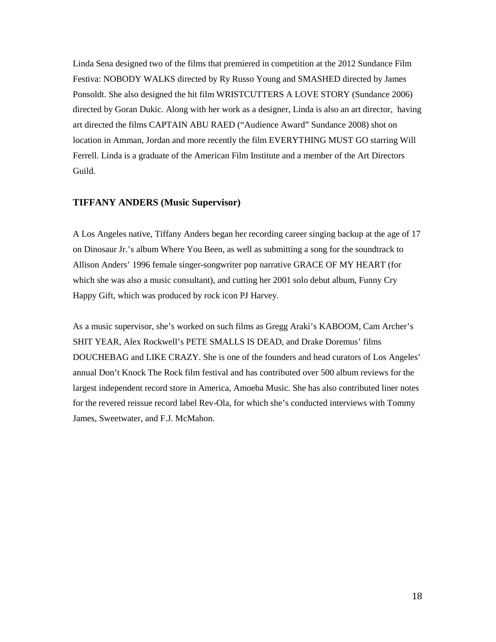Linda Sena designed two of the films that premiered in competition at the 2012 Sundance Film Festiva: NOBODY WALKS directed by Ry Russo Young and SMASHED directed by James Ponsoldt. She also designed the hit film WRISTCUTTERS A LOVE STORY (Sundance 2006) directed by Goran Dukic. Along with her work as a designer, Linda is also an art director, having art directed the films CAPTAIN ABU RAED ("Audience Award" Sundance 2008) shot on location in Amman, Jordan and more recently the film EVERYTHING MUST GO starring Will Ferrell. Linda is a graduate of the American Film Institute and a member of the Art Directors Guild.

## **TIFFANY ANDERS (Music Supervisor)**

A Los Angeles native, Tiffany Anders began her recording career singing backup at the age of 17 on Dinosaur Jr.'s album Where You Been, as well as submitting a song for the soundtrack to Allison Anders' 1996 female singer-songwriter pop narrative GRACE OF MY HEART (for which she was also a music consultant), and cutting her 2001 solo debut album, Funny Cry Happy Gift, which was produced by rock icon PJ Harvey.

As a music supervisor, she's worked on such films as Gregg Araki's KABOOM, Cam Archer's SHIT YEAR, Alex Rockwell's PETE SMALLS IS DEAD, and Drake Doremus' films DOUCHEBAG and LIKE CRAZY. She is one of the founders and head curators of Los Angeles' annual Don't Knock The Rock film festival and has contributed over 500 album reviews for the largest independent record store in America, Amoeba Music. She has also contributed liner notes for the revered reissue record label Rev-Ola, for which she's conducted interviews with Tommy James, Sweetwater, and F.J. McMahon.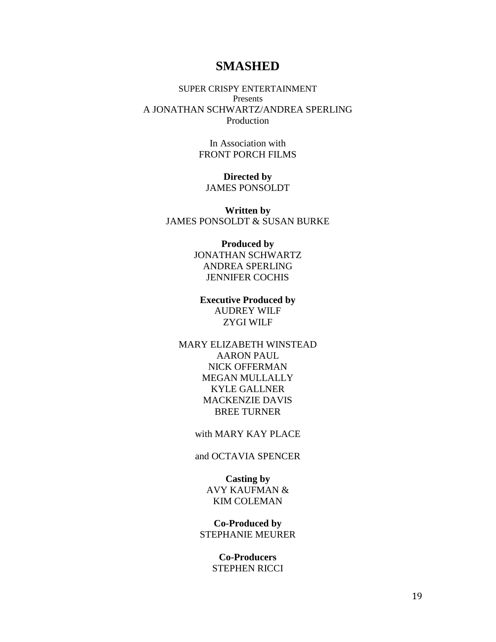# **SMASHED**

SUPER CRISPY ENTERTAINMENT Presents A JONATHAN SCHWARTZ/ANDREA SPERLING Production

> In Association with FRONT PORCH FILMS

**Directed by** JAMES PONSOLDT

**Written by** JAMES PONSOLDT & SUSAN BURKE

> **Produced by** JONATHAN SCHWARTZ ANDREA SPERLING JENNIFER COCHIS

**Executive Produced by** AUDREY WILF ZYGI WILF

MARY ELIZABETH WINSTEAD AARON PAUL NICK OFFERMAN MEGAN MULLALLY KYLE GALLNER MACKENZIE DAVIS BREE TURNER

with MARY KAY PLACE

## and OCTAVIA SPENCER

**Casting by** AVY KAUFMAN & KIM COLEMAN

**Co-Produced by** STEPHANIE MEURER

> **Co-Producers** STEPHEN RICCI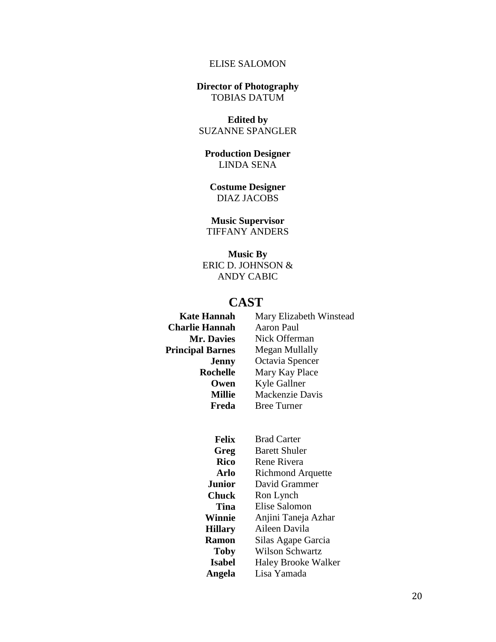## ELISE SALOMON

#### **Director of Photography**  TOBIAS DATUM

**Edited by** SUZANNE SPANGLER

**Production Designer** LINDA SENA

**Costume Designer** DIAZ JACOBS

**Music Supervisor** TIFFANY ANDERS

**Music By** ERIC D. JOHNSON & ANDY CABIC

## **CAST**

 **Charlie Hannah** Aaron Paul

**Kate Hannah** Mary Elizabeth Winstead **Mr. Davies** Nick Offerman **Principal Barnes** Megan Mullally **Jenny** Octavia Spencer **Rochelle** Mary Kay Place **Owen** Kyle Gallner **Millie** Mackenzie Davis **Freda** Bree Turner

> **Felix** Brad Carter **Greg** Barett Shuler **Rico** Rene Rivera **Arlo** Richmond Arquette **Junior** David Grammer **Chuck** Ron Lynch **Tina** Elise Salomon **Winnie** Anjini Taneja Azhar **Hillary** Aileen Davila **Ramon** Silas Agape Garcia **Toby** Wilson Schwartz **Isabel** Haley Brooke Walker **Angela** Lisa Yamada

> > 20